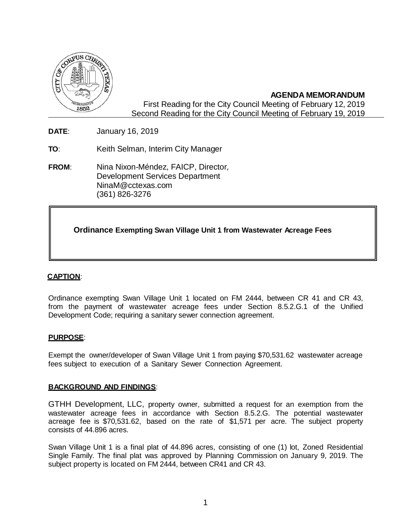

# **AGENDA MEMORANDUM**

First Reading for the City Council Meeting of February 12, 2019 Second Reading for the City Council Meeting of February 19, 2019

**DATE**: January 16, 2019

**TO**: Keith Selman, Interim City Manager

**FROM**: Nina Nixon-Méndez, FAICP, Director, Development Services Department [NinaM@cctexas.com](mailto:NinaM@cctexas.com) (361) 826-3276

**Ordinance Exempting Swan Village Unit 1 from Wastewater Acreage Fees**

# **CAPTION**:

Ordinance exempting Swan Village Unit 1 located on FM 2444, between CR 41 and CR 43, from the payment of wastewater acreage fees under Section 8.5.2.G.1 of the Unified Development Code; requiring a sanitary sewer connection agreement.

# **PURPOSE**:

Exempt the owner/developer of Swan Village Unit 1 from paying \$70,531.62 wastewater acreage fees subject to execution of a Sanitary Sewer Connection Agreement.

### **BACKGROUND AND FINDINGS**:

GTHH Development, LLC, property owner, submitted a request for an exemption from the wastewater acreage fees in accordance with Section 8.5.2.G. The potential wastewater acreage fee is \$70,531.62, based on the rate of \$1,571 per acre. The subject property consists of 44.896 acres.

Swan Village Unit 1 is a final plat of 44.896 acres, consisting of one (1) lot, Zoned Residential Single Family. The final plat was approved by Planning Commission on January 9, 2019. The subject property is located on FM 2444, between CR41 and CR 43.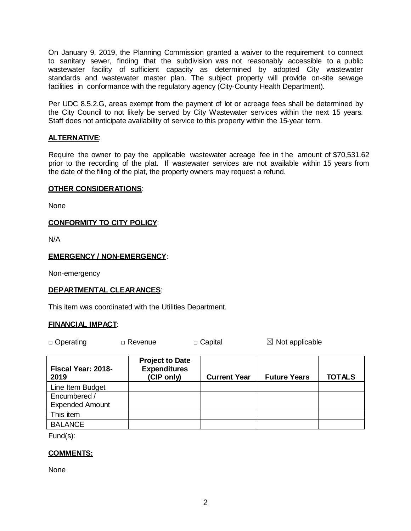On January 9, 2019, the Planning Commission granted a waiver to the requirement t o connect to sanitary sewer, finding that the subdivision was not reasonably accessible to a public wastewater facility of sufficient capacity as determined by adopted City wastewater standards and wastewater master plan. The subject property will provide on-site sewage facilities in conformance with the regulatory agency (City-County Health Department).

Per UDC 8.5.2.G, areas exempt from the payment of lot or acreage fees shall be determined by the City Council to not likely be served by City Wastewater services within the next 15 years. Staff does not anticipate availability of service to this property within the 15-year term.

# **ALTERNATIVE**:

Require the owner to pay the applicable wastewater acreage fee in t he amount of \$70,531.62 prior to the recording of the plat. If wastewater services are not available within 15 years from the date of the filing of the plat, the property owners may request a refund.

#### **OTHER CONSIDERATIONS**:

None

### **CONFORMITY TO CITY POLICY**:

N/A

#### **EMERGENCY / NON-EMERGENCY**:

Non-emergency

#### **DEPARTMENTAL CLEARANCES**:

This item was coordinated with the Utilities Department.

#### **FINANCIAL IMPACT**:

□ Operating □ Revenue □ Capital ☒ Not applicable

| Fiscal Year: 2018-<br>2019 | <b>Project to Date</b><br><b>Expenditures</b><br>(CIP only) | <b>Current Year</b> | <b>Future Years</b> | <b>TOTALS</b> |
|----------------------------|-------------------------------------------------------------|---------------------|---------------------|---------------|
| Line Item Budget           |                                                             |                     |                     |               |
| Encumbered /               |                                                             |                     |                     |               |
| <b>Expended Amount</b>     |                                                             |                     |                     |               |
| This item                  |                                                             |                     |                     |               |
| <b>BALANCE</b>             |                                                             |                     |                     |               |

Fund(s):

#### **COMMENTS:**

None